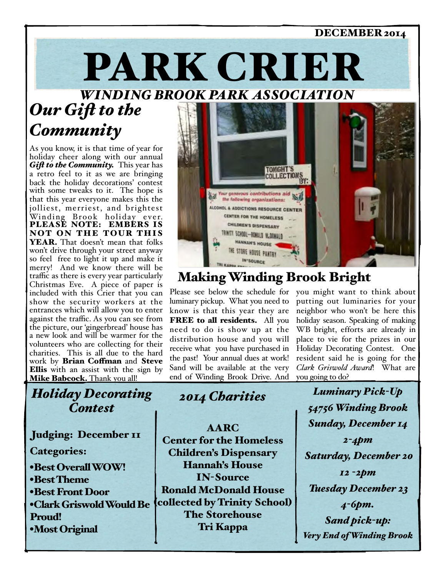# PARK CRIER DECEMBER 2014

*WINDING BROOK PARK ASSOCIATION*

## *Our Gif to the Community*

As you know, it is that time of year for holiday cheer along with our annual *Gif to the Community.* This year has a retro feel to it as we are bringing back the holiday decorations' contest with some tweaks to it. The hope is that this year everyone makes this the jolliest, merriest, and brightest Winding Brook holiday e ver. PLEASE NOTE: EMBERS IS NOT ON THE TOUR THIS YEAR. That doesn't mean that folks won't drive through your street anyway so feel free to light it up and make it merry! And we know there will be traffic as there is every year particularly Christmas Eve. A piece of paper is included with this Crier that you can show the security workers at the entrances which will allow you to enter against the traffic. As you can see from the picture, our 'gingerbread' house has a new look and will be warmer for the volunteers who are collecting for their charities. This is all due to the hard work by Brian Coffman and Steve Ellis with an assist with the sign by Mike Babcock. Thank you all!

### *Holiday Decorating Contest*

Judging: December II

Categories:

•Best Overall WOW! •Best Theme •Best Front Door •Clark Griswold Would Be Proud! •Most Original



## Making Winding Brook Bright

luminary pickup. What you need to know is that this year they are FREE to all residents. All you need to do is show up at the distribution house and you will receive what you have purchased in the past! Your annual dues at work! Sand will be available at the very end of Winding Brook Drive. And

Please see below the schedule for you might want to think about putting out luminaries for your neighbor who won't be here this holiday season. Speaking of making WB bright, efforts are already in place to vie for the prizes in our Holiday Decorating Contest. One resident said he is going for the *Clark Griswold Award*! What are you going to do?

> *Luminary Pick-Up 54756 Winding Brook Sunday, December 14 2-4pm Saturday, December 20 12 -2pm Tuesday December 23 4-6pm. Sand pick-up: Very End of Winding Brook*

*2014 Charities*

AARC Center for the Homeless Children's Dispensary Hannah's House IN-Source Ronald McDonald House (collected by Trinity School) The Storehouse Tri Kappa